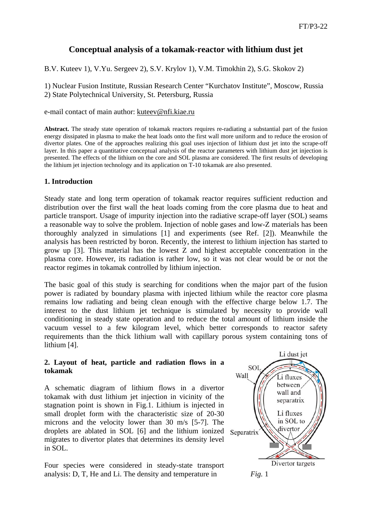# **Conceptual analysis of a tokamak-reactor with lithium dust jet**

B.V. Kuteev 1), V.Yu. Sergeev 2), S.V. Krylov 1), V.M. Timokhin 2), S.G. Skokov 2)

1) Nuclear Fusion Institute, Russian Research Center "Kurchatov Institute", Moscow, Russia 2) State Polytechnical University, St. Petersburg, Russia

e-mail contact of main author: [kuteev@nfi.kiae.ru](mailto:kuteev@nfi.kiae.ru)

**Abstract.** The steady state operation of tokamak reactors requires re-radiating a substantial part of the fusion energy dissipated in plasma to make the heat loads onto the first wall more uniform and to reduce the erosion of divertor plates. One of the approaches realizing this goal uses injection of lithium dust jet into the scrape-off layer. In this paper a quantitative conceptual analysis of the reactor parameters with lithium dust jet injection is presented. The effects of the lithium on the core and SOL plasma are considered. The first results of developing the lithium jet injection technology and its application on T-10 tokamak are also presented.

# **1. Introduction**

Steady state and long term operation of tokamak reactor requires sufficient reduction and distribution over the first wall the heat loads coming from the core plasma due to heat and particle transport. Usage of impurity injection into the radiative scrape-off layer (SOL) seams a reasonable way to solve the problem. Injection of noble gases and low-Z materials has been thoroughly analyzed in simulations [1] and experiments (see Ref. [2]). Meanwhile the analysis has been restricted by boron. Recently, the interest to lithium injection has started to grow up [3]. This material has the lowest Z and highest acceptable concentration in the plasma core. However, its radiation is rather low, so it was not clear would be or not the reactor regimes in tokamak controlled by lithium injection.

The basic goal of this study is searching for conditions when the major part of the fusion power is radiated by boundary plasma with injected lithium while the reactor core plasma remains low radiating and being clean enough with the effective charge below 1.7. The interest to the dust lithium jet technique is stimulated by necessity to provide wall conditioning in steady state operation and to reduce the total amount of lithium inside the vacuum vessel to a few kilogram level, which better corresponds to reactor safety requirements than the thick lithium wall with capillary porous system containing tons of lithium [4].

## **2. Layout of heat, particle and radiation flows in a tokamak**

A schematic diagram of lithium flows in a divertor tokamak with dust lithium jet injection in vicinity of the stagnation point is shown in Fig.1. Lithium is injected in small droplet form with the characteristic size of 20-30 microns and the velocity lower than 30 m/s [5-7]. The droplets are ablated in SOL [6] and the lithium ionized migrates to divertor plates that determines its density level in SOL.

Four species were considered in steady-state transport analysis: D, T, He and Li. The density and temperature in *Fig.* 1

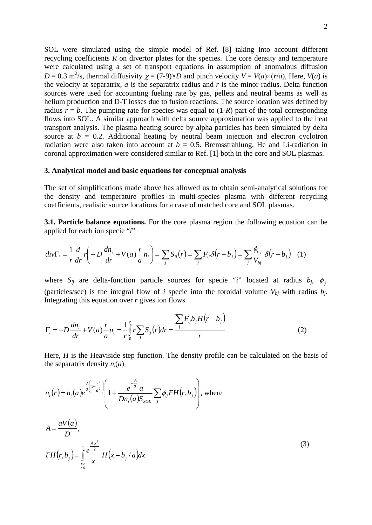SOL were simulated using the simple model of Ref. [8] taking into account different recycling coefficients *R* on divertor plates for the species. The core density and temperature were calculated using a set of transport equations in assumption of anomalous diffusion  $D = 0.3$  m<sup>2</sup>/s, thermal diffusivity  $\chi = (7-9) \times D$  and pinch velocity  $V = V(a) \times (r/a)$ , Here,  $V(a)$  is the velocity at separatrix, *a* is the separatrix radius and *r* is the minor radius. Delta function sources were used for accounting fueling rate by gas, pellets and neutral beams as well as helium production and D-T losses due to fusion reactions. The source location was defined by radius  $r = b$ . The pumping rate for species was equal to  $(1-R)$  part of the total corresponding flows into SOL. A similar approach with delta source approximation was applied to the heat transport analysis. The plasma heating source by alpha particles has been simulated by delta source at  $b = 0.2$ . Additional heating by neutral beam injection and electron cyclotron radiation were also taken into account at  $b = 0.5$ . Bremsstrahlung, He and Li-radiation in coronal approximation were considered similar to Ref. [1] both in the core and SOL plasmas.

#### **3. Analytical model and basic equations for conceptual analysis**

The set of simplifications made above has allowed us to obtain semi-analytical solutions for the density and temperature profiles in multi-species plasma with different recycling coefficients, realistic source locations for a case of matched core and SOL plasmas.

**3.1. Particle balance equations.** For the core plasma region the following equation can be applied for each ion specie "*i*"

$$
div\Gamma_i = \frac{1}{r}\frac{d}{dr}r\left(-D\frac{dn_i}{dr} + V(a)\frac{r}{a}n_i\right) = \sum_j S_{ij}(r) = \sum_j F_{ij}\delta(r - b_j) = \sum_j \frac{\phi_{i,j}}{V_{bj}}\delta(r - b_j) \quad (1)
$$

where  $S_{ij}$  are delta-function particle sources for specie "*i*" located at radius  $b_j$ ,  $\phi_{ij}$ (particles/sec) is the integral flow of *i* specie into the toroidal volume  $V_{bi}$  with radius  $b_i$ . Integrating this equation over *r* gives ion flows

$$
\Gamma_i = -D\frac{dn_i}{dr} + V(a)\frac{r}{a}n_i = \frac{1}{r}\int_0^r r \sum_j S_j(r) dr = \frac{\sum_j F_{ij}b_j H(r - b_j)}{r}
$$
(2)

Here, *H* is the Heaviside step function. The density profile can be calculated on the basis of the separatrix density  $n_i(a)$ 

$$
n_{i}(r) = n_{i}(a)e^{\frac{A}{2}\left(1-\frac{r^{2}}{a^{2}}\right)}\left(1+\frac{e^{-\frac{A}{2}}a}{Dn_{i}(a)S_{SOL}}\sum_{j}\phi_{ij}FH(r,b_{j})\right), \text{ where}
$$

$$
A = \frac{aV(a)}{D},
$$
  
\n
$$
FH(r, b_j) = \int_{r/a}^{1} \frac{e^{\frac{Ax^2}{2}}}{x} H(x - b_j/a) dx
$$
\n(3)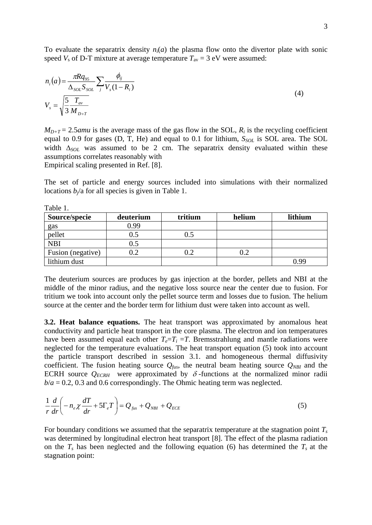To evaluate the separatrix density  $n_i(a)$  the plasma flow onto the divertor plate with sonic speed  $V_s$  of D-T mixture at average temperature  $T_{av} = 3$  eV were assumed:

$$
n_i(a) = \frac{\pi R q_{95}}{\Delta_{SOL} S_{SOL}} \sum_j \frac{\phi_{ij}}{V_s(1 - R_i)}
$$
  
\n
$$
V_s = \sqrt{\frac{5}{3} \frac{T_{av}}{M_{D+T}}}
$$
\n(4)

 $M_{D+T}$  = 2.5*amu* is the average mass of the gas flow in the SOL,  $R_i$  is the recycling coefficient equal to 0.9 for gases (D, T, He) and equal to 0.1 for lithium,  $S_{SOL}$  is SOL area. The SOL width  $\Delta_{SOL}$  was assumed to be 2 cm. The separatrix density evaluated within these assumptions correlates reasonably with

Empirical scaling presented in Ref. [8].

The set of particle and energy sources included into simulations with their normalized locations  $b_i$ /a for all species is given in Table 1.

| Table 1.          |           |         |        |         |  |  |  |
|-------------------|-----------|---------|--------|---------|--|--|--|
| Source/specie     | deuterium | tritium | helium | lithium |  |  |  |
| gas               | 0.99      |         |        |         |  |  |  |
| pellet            | 0.5       | 0.5     |        |         |  |  |  |
| <b>NBI</b>        | 0.5       |         |        |         |  |  |  |
| Fusion (negative) | $0.2\,$   | 0.2     |        |         |  |  |  |
| lithium dust      |           |         |        | በ ዐር    |  |  |  |

The deuterium sources are produces by gas injection at the border, pellets and NBI at the middle of the minor radius, and the negative loss source near the center due to fusion. For tritium we took into account only the pellet source term and losses due to fusion. The helium source at the center and the border term for lithium dust were taken into account as well.

**3.2. Heat balance equations.** The heat transport was approximated by anomalous heat conductivity and particle heat transport in the core plasma. The electron and ion temperatures have been assumed equal each other  $T_e = T_i = T$ . Bremsstrahlung and mantle radiations were neglected for the temperature evaluations. The heat transport equation (5) took into account the particle transport described in session 3.1. and homogeneous thermal diffusivity coefficient. The fusion heating source  $Q_{fus}$ , the neutral beam heating source  $Q_{NBI}$  and the ECRH source  $Q_{ECRH}$  were approximated by  $\delta$ -functions at the normalized minor radii  $b/a = 0.2$ , 0.3 and 0.6 correspondingly. The Ohmic heating term was neglected.

$$
\frac{1}{r}\frac{d}{dr}\left(-n_e\chi\frac{dT}{dr}+5\Gamma_eT\right)=Q_{fus}+Q_{NBI}+Q_{ECE}
$$
\n(5)

For boundary conditions we assumed that the separatrix temperature at the stagnation point  $T_s$ was determined by longitudinal electron heat transport [8]. The effect of the plasma radiation on the  $T_s$  has been neglected and the following equation (6) has determined the  $T_s$  at the stagnation point: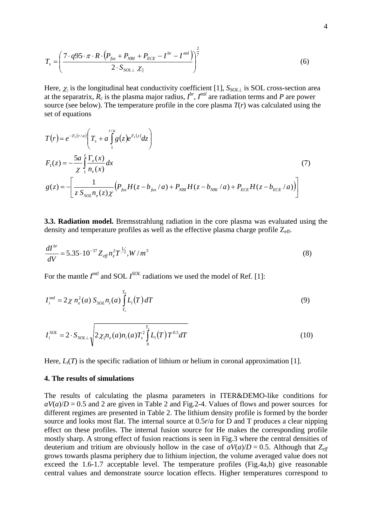$$
T_s = \left(\frac{7 \cdot q95 \cdot \pi \cdot R \cdot (P_{\text{flux}} + P_{\text{NBI}} + P_{\text{ECE}} - I^{\text{br}} - I^{\text{mfl}})}{2 \cdot S_{\text{SOL} \perp} \chi_{\parallel}}\right)^{\frac{2}{7}}
$$
(6)

Here,  $\chi_{\parallel}$  is the longitudinal heat conductivity coefficient [1],  $S_{SOL\perp}$  is SOL cross-section area at the separatrix,  $\overline{R}_c$  is the plasma major radius,  $I^{br}$ ,  $I^{mtl}$  are radiation terms and *P* are power source (see below). The temperature profile in the core plasma  $T(r)$  was calculated using the set of equations

$$
T(r) = e^{-F_1(r/a)} \left( T_s + a \int_1^{r/a} g(z) e^{F_1(z)} dz \right)
$$
  
\n
$$
F_1(z) = -\frac{5a}{\chi} \int_1^z \frac{\Gamma_e(x)}{n_e(x)} dx
$$
  
\n
$$
g(z) = -\left[ \frac{1}{z S_{\text{sol}} n_e(z) \chi} \left( P_{\text{fus}} H(z - b_{\text{fus}} / a) + P_{\text{NBI}} H(z - b_{\text{NBI}} / a) + P_{\text{ECE}} H(z - b_{\text{ECE}} / a) \right) \right]
$$
\n(7)

**3.3. Radiation model.** Bremsstrahlung radiation in the core plasma was evaluated using the density and temperature profiles as well as the effective plasma charge profile  $Z_{\text{eff}}$ .

$$
\frac{dI^{br}}{dV} = 5.35 \cdot 10^{-37} Z_{\text{eff}} n_e^2 T^{\frac{1}{2}} , W/m^3
$$
\n(8)

For the mantle  $I^{mtl}$  and SOL  $I^{SOL}$  radiations we used the model of Ref. [1]:

$$
I_i^{mtl} = 2\chi n_e^2(a) S_{SOL} n_i(a) \int_{T_s}^{T_0} L_i(T) dT
$$
\n(9)

$$
I_i^{SOL} = 2 \cdot S_{SOL\perp} \sqrt{2 \chi_{\parallel} n_e(a) n_i(a) T_s^2 \int_0^{T_s} L_i(T) T^{0.5} dT}
$$
 (10)

Here,  $L_i(T)$  is the specific radiation of lithium or helium in coronal approximation [1].

#### **4. The results of simulations**

The results of calculating the plasma parameters in ITER&DEMO-like conditions for  $aV(a)/D = 0.5$  and 2 are given in Table 2 and Fig. 2-4. Values of flows and power sources for different regimes are presented in Table 2. The lithium density profile is formed by the border source and looks most flat. The internal source at 0.5*r*/*a* for D and T produces a clear nipping effect on these profiles. The internal fusion source for He makes the corresponding profile mostly sharp. A strong effect of fusion reactions is seen in Fig.3 where the central densities of deuterium and tritium are obviously hollow in the case of  $aV(a)/D = 0.5$ . Although that  $Z_{\text{eff}}$ grows towards plasma periphery due to lithium injection, the volume averaged value does not exceed the 1.6-1.7 acceptable level. The temperature profiles (Fig.4a,b) give reasonable central values and demonstrate source location effects. Higher temperatures correspond to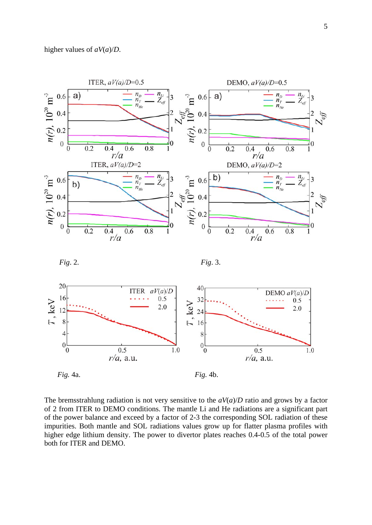

The bremsstrahlung radiation is not very sensitive to the  $aV(a)/D$  ratio and grows by a factor of 2 from ITER to DEMO conditions. The mantle Li and He radiations are a significant part of the power balance and exceed by a factor of 2-3 the corresponding SOL radiation of these impurities. Both mantle and SOL radiations values grow up for flatter plasma profiles with higher edge lithium density. The power to divertor plates reaches 0.4-0.5 of the total power both for ITER and DEMO.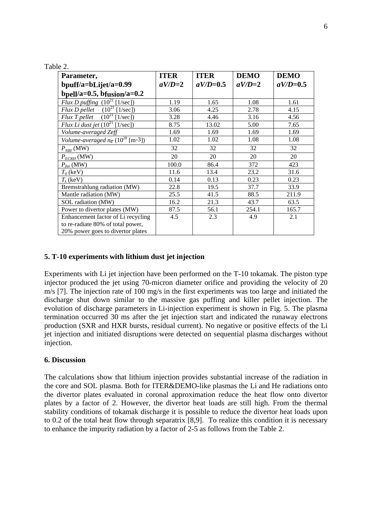| Parameter,                                   | <b>ITER</b> | <b>ITER</b> | <b>DEMO</b> | <b>DEMO</b> |
|----------------------------------------------|-------------|-------------|-------------|-------------|
| bpuff/a=bLijet/a=0.99                        | $aV/D=2$    | $aV/D=0.5$  | $aV/D=2$    | $aV/D=0.5$  |
| bpell/a=0.5, bfusion/a=0.2                   |             |             |             |             |
| Flux D puffing $(10^{21}$ [1/sec])           | 1.19        | 1.65        | 1.08        | 1.61        |
| Flux D pellet $(10^{21}$ [1/sec])            | 3.06        | 4.25        | 2.78        | 4.15        |
| Flux T pellet $(10^{21}$ [1/sec])            | 3.28        | 4.46        | 3.16        | 4.56        |
| Flux Li dust jet $(10^{21}$ [1/sec])         | 8.75        | 13.02       | 5.00        | 7.65        |
| Volume-averaged Zeff                         | 1.69        | 1.69        | 1.69        | 1.69        |
| Volume-averaged ne $(10^{20} \text{ [m-3]})$ | 1.02        | 1.02        | 1.08        | 1.08        |
| $P_{NBI}$ (MW)                               | 32          | 32          | 32          | 32          |
| $P_{ECRH}$ (MW)                              | 20          | 20          | 20          | 20          |
| $P_{\text{fus}}$ (MW)                        | 100.0       | 86.4        | 372         | 423         |
| $T_0$ (keV)                                  | 11.6        | 13.4        | 23.2        | 31.6        |
| $T_s$ (keV)                                  | 0.14        | 0.13        | 0.23        | 0.23        |
| Bremstrahlung radiation (MW)                 | 22.8        | 19.5        | 37.7        | 33.9        |
| Mantle radiation (MW)                        | 25.5        | 41.5        | 88.5        | 211.9       |
| SOL radiation (MW)                           | 16.2        | 21.3        | 43.7        | 63.5        |
| Power to divertor plates (MW)                | 87.5        | 56.1        | 254.1       | 165.7       |
| Enhancement factor of Li recycling           | 4.5         | 2.3         | 4.9         | 2.1         |
| to re-radiate 80% of total power,            |             |             |             |             |
| 20% power goes to divertor plates            |             |             |             |             |

# **5. T-10 experiments with lithium dust jet injection**

Experiments with Li jet injection have been performed on the T-10 tokamak. The piston type injector produced the jet using 70-micron diameter orifice and providing the velocity of 20 m/s [7]. The injection rate of 100 mg/s in the first experiments was too large and initiated the discharge shut down similar to the massive gas puffing and killer pellet injection. The evolution of discharge parameters in Li-injection experiment is shown in Fig. 5. The plasma termination occurred 30 ms after the jet injection start and indicated the runaway electrons production (SXR and HXR bursts, residual current). No negative or positive effects of the Li jet injection and initiated disruptions were detected on sequential plasma discharges without injection.

#### **6. Discussion**

Table 2.

The calculations show that lithium injection provides substantial increase of the radiation in the core and SOL plasma. Both for ITER&DEMO-like plasmas the Li and He radiations onto the divertor plates evaluated in coronal approximation reduce the heat flow onto divertor plates by a factor of 2. However, the divertor heat loads are still high. From the thermal stability conditions of tokamak discharge it is possible to reduce the divertor heat loads upon to 0.2 of the total heat flow through separatrix [8,9]. To realize this condition it is necessary to enhance the impurity radiation by a factor of 2-5 as follows from the Table 2.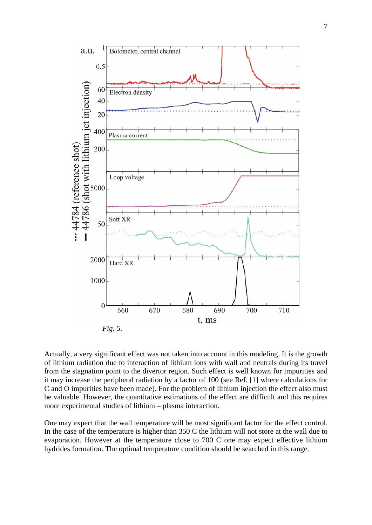

Actually, a very significant effect was not taken into account in this modeling. It is the growth of lithium radiation due to interaction of lithium ions with wall and neutrals during its travel from the stagnation point to the divertor region. Such effect is well known for impurities and it may increase the peripheral radiation by a factor of 100 (see Ref. [1] where calculations for C and O impurities have been made). For the problem of lithium injection the effect also must be valuable. However, the quantitative estimations of the effect are difficult and this requires more experimental studies of lithium – plasma interaction.

One may expect that the wall temperature will be most significant factor for the effect control. In the case of the temperature is higher than 350 C the lithium will not store at the wall due to evaporation. However at the temperature close to 700 C one may expect effective lithium hydrides formation. The optimal temperature condition should be searched in this range.